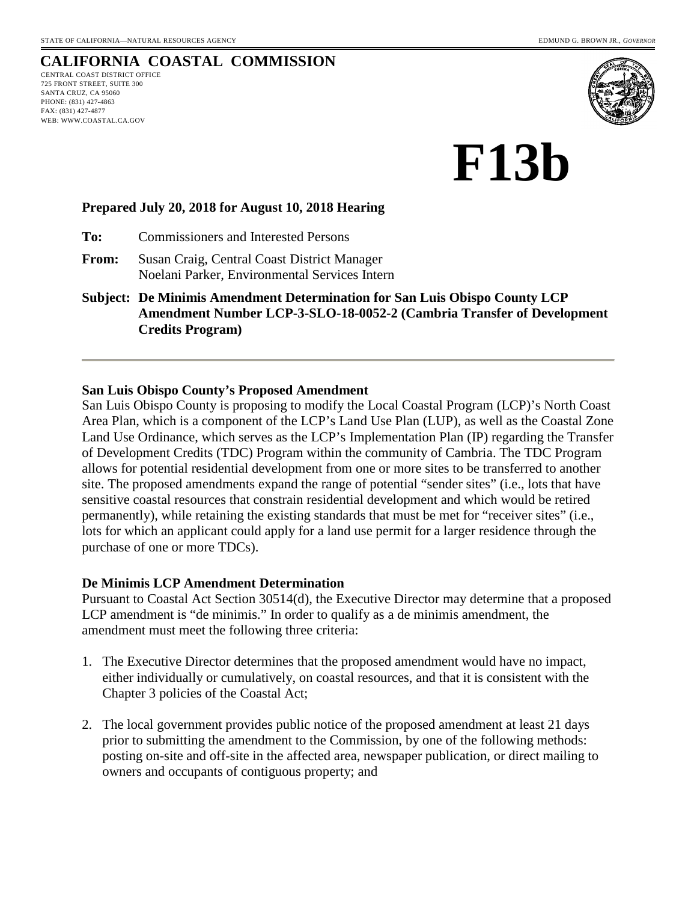# **CALIFORNIA COASTAL COMMISSION**

CENTRAL COAST DISTRICT OFFICE 725 FRONT STREET, SUITE 300 SANTA CRUZ, CA 95060 PHONE: (831) 427-4863 FAX: (831) 427-4877 WEB: WWW.COASTAL.CA.GOV



**F13b** 

#### **Prepared July 20, 2018 for August 10, 2018 Hearing**

**To:** Commissioners and Interested Persons

**From:** Susan Craig, Central Coast District Manager Noelani Parker, Environmental Services Intern

**Subject: De Minimis Amendment Determination for San Luis Obispo County LCP Amendment Number LCP-3-SLO-18-0052-2 (Cambria Transfer of Development Credits Program)**

#### **San Luis Obispo County's Proposed Amendment**

San Luis Obispo County is proposing to modify the Local Coastal Program (LCP)'s North Coast Area Plan, which is a component of the LCP's Land Use Plan (LUP), as well as the Coastal Zone Land Use Ordinance, which serves as the LCP's Implementation Plan (IP) regarding the Transfer of Development Credits (TDC) Program within the community of Cambria. The TDC Program allows for potential residential development from one or more sites to be transferred to another site. The proposed amendments expand the range of potential "sender sites" (i.e., lots that have sensitive coastal resources that constrain residential development and which would be retired permanently), while retaining the existing standards that must be met for "receiver sites" (i.e., lots for which an applicant could apply for a land use permit for a larger residence through the purchase of one or more TDCs).

#### **De Minimis LCP Amendment Determination**

Pursuant to Coastal Act Section 30514(d), the Executive Director may determine that a proposed LCP amendment is "de minimis." In order to qualify as a de minimis amendment, the amendment must meet the following three criteria:

- 1. The Executive Director determines that the proposed amendment would have no impact, either individually or cumulatively, on coastal resources, and that it is consistent with the Chapter 3 policies of the Coastal Act;
- 2. The local government provides public notice of the proposed amendment at least 21 days prior to submitting the amendment to the Commission, by one of the following methods: posting on-site and off-site in the affected area, newspaper publication, or direct mailing to owners and occupants of contiguous property; and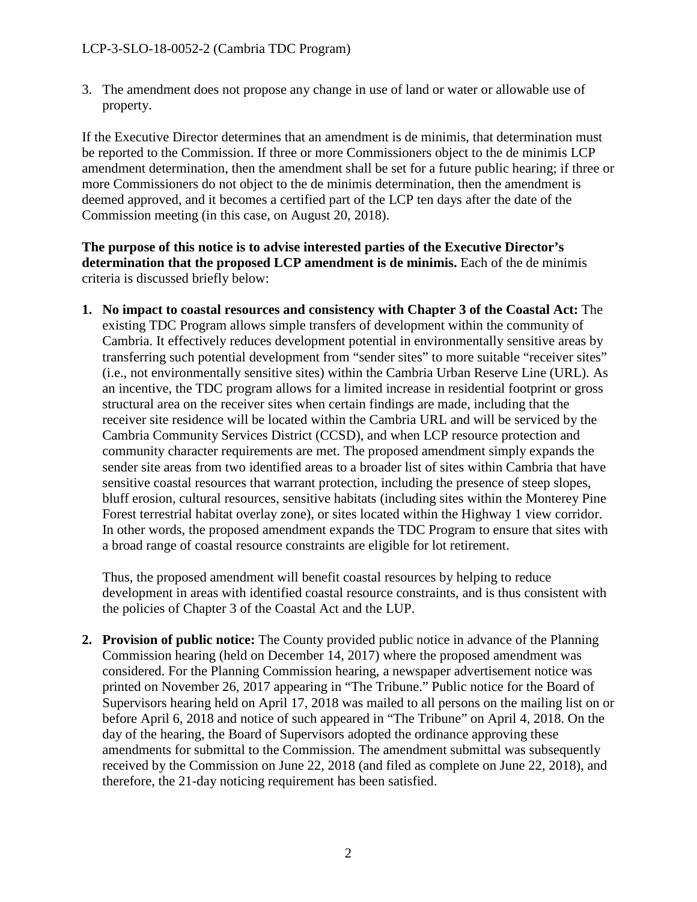3. The amendment does not propose any change in use of land or water or allowable use of property.

If the Executive Director determines that an amendment is de minimis, that determination must be reported to the Commission. If three or more Commissioners object to the de minimis LCP amendment determination, then the amendment shall be set for a future public hearing; if three or more Commissioners do not object to the de minimis determination, then the amendment is deemed approved, and it becomes a certified part of the LCP ten days after the date of the Commission meeting (in this case, on August 20, 2018).

**The purpose of this notice is to advise interested parties of the Executive Director's determination that the proposed LCP amendment is de minimis.** Each of the de minimis criteria is discussed briefly below:

**1. No impact to coastal resources and consistency with Chapter 3 of the Coastal Act:** The existing TDC Program allows simple transfers of development within the community of Cambria. It effectively reduces development potential in environmentally sensitive areas by transferring such potential development from "sender sites" to more suitable "receiver sites" (i.e., not environmentally sensitive sites) within the Cambria Urban Reserve Line (URL). As an incentive, the TDC program allows for a limited increase in residential footprint or gross structural area on the receiver sites when certain findings are made, including that the receiver site residence will be located within the Cambria URL and will be serviced by the Cambria Community Services District (CCSD), and when LCP resource protection and community character requirements are met. The proposed amendment simply expands the sender site areas from two identified areas to a broader list of sites within Cambria that have sensitive coastal resources that warrant protection, including the presence of steep slopes, bluff erosion, cultural resources, sensitive habitats (including sites within the Monterey Pine Forest terrestrial habitat overlay zone), or sites located within the Highway 1 view corridor. In other words, the proposed amendment expands the TDC Program to ensure that sites with a broad range of coastal resource constraints are eligible for lot retirement.

Thus, the proposed amendment will benefit coastal resources by helping to reduce development in areas with identified coastal resource constraints, and is thus consistent with the policies of Chapter 3 of the Coastal Act and the LUP.

**2. Provision of public notice:** The County provided public notice in advance of the Planning Commission hearing (held on December 14, 2017) where the proposed amendment was considered. For the Planning Commission hearing, a newspaper advertisement notice was printed on November 26, 2017 appearing in "The Tribune." Public notice for the Board of Supervisors hearing held on April 17, 2018 was mailed to all persons on the mailing list on or before April 6, 2018 and notice of such appeared in "The Tribune" on April 4, 2018. On the day of the hearing, the Board of Supervisors adopted the ordinance approving these amendments for submittal to the Commission. The amendment submittal was subsequently received by the Commission on June 22, 2018 (and filed as complete on June 22, 2018), and therefore, the 21-day noticing requirement has been satisfied.